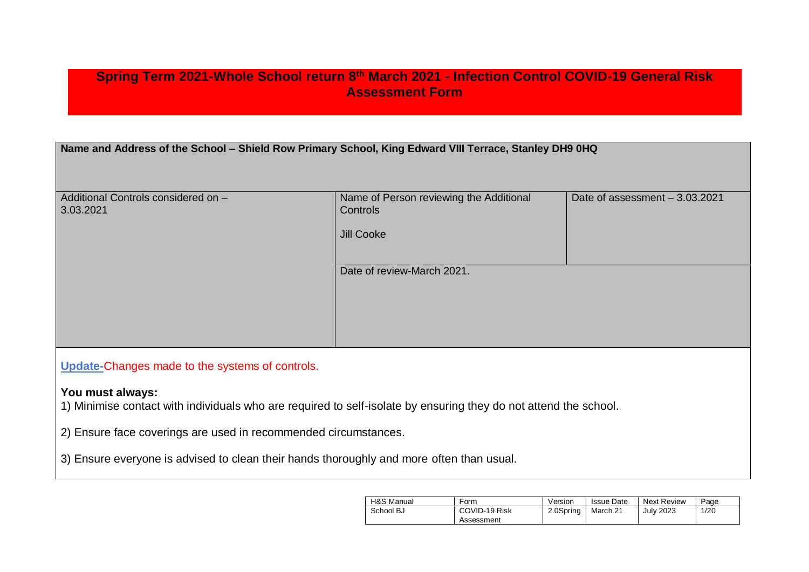## **Spring Term 2021-Whole School return 8th March 2021 - Infection Control COVID-19 General Risk Assessment Form**

| Name and Address of the School - Shield Row Primary School, King Edward VIII Terrace, Stanley DH9 0HQ |
|-------------------------------------------------------------------------------------------------------|
|-------------------------------------------------------------------------------------------------------|

| Additional Controls considered on -             | Name of Person reviewing the Additional | Date of assessment - 3.03.2021 |
|-------------------------------------------------|-----------------------------------------|--------------------------------|
| 3.03.2021                                       | <b>Controls</b>                         |                                |
|                                                 |                                         |                                |
|                                                 | Jill Cooke                              |                                |
|                                                 |                                         |                                |
|                                                 | Date of review-March 2021.              |                                |
|                                                 |                                         |                                |
|                                                 |                                         |                                |
|                                                 |                                         |                                |
|                                                 |                                         |                                |
|                                                 |                                         |                                |
|                                                 |                                         |                                |
| Update-Changes made to the systems of controls. |                                         |                                |

## **You must always:**

1) Minimise contact with individuals who are required to self-isolate by ensuring they do not attend the school.

2) Ensure face coverings are used in recommended circumstances.

3) Ensure everyone is advised to clean their hands thoroughly and more often than usual.

| H&S Manual | -orm          | Version   | <b>Issue Date</b> | <b>Next Review</b> | Page |
|------------|---------------|-----------|-------------------|--------------------|------|
| School BJ  | COVID-19 Risk | 2.0Spring | March 21          | <b>July 2023</b>   | 1/20 |
|            | Assessment    |           |                   |                    |      |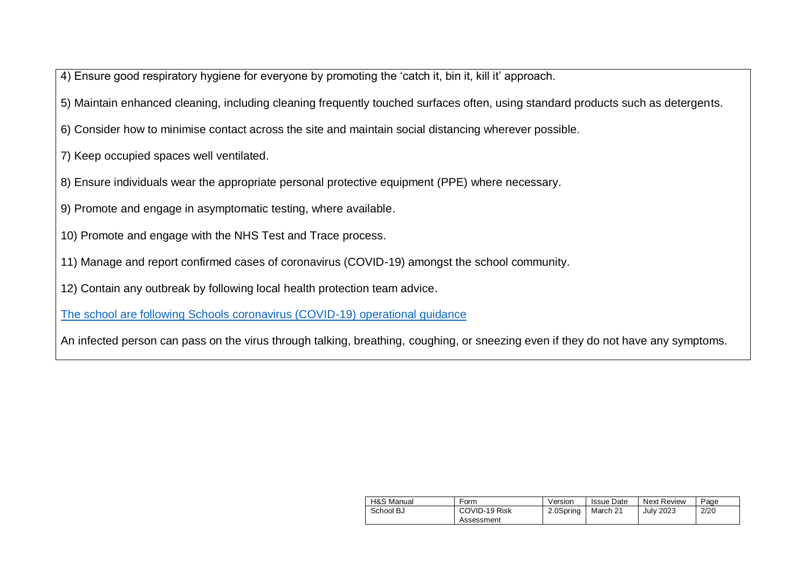4) Ensure good respiratory hygiene for everyone by promoting the 'catch it, bin it, kill it' approach.

5) Maintain enhanced cleaning, including cleaning frequently touched surfaces often, using standard products such as detergents.

6) Consider how to minimise contact across the site and maintain social distancing wherever possible.

7) Keep occupied spaces well ventilated.

- 8) Ensure individuals wear the appropriate personal protective equipment (PPE) where necessary.
- 9) Promote and engage in asymptomatic testing, where available.

10) Promote and engage with the NHS Test and Trace process.

11) Manage and report confirmed cases of coronavirus (COVID-19) amongst the school community.

12) Contain any outbreak by following local health protection team advice.

[The school are following Schools coronavirus \(COVID-19\) operational guidance](https://assets.publishing.service.gov.uk/government/uploads/system/uploads/attachment_data/file/964351/Schools_coronavirus_operational_guidance.pdf)

An infected person can pass on the virus through talking, breathing, coughing, or sneezing even if they do not have any symptoms.

| H&S Manual | Form          | Version   | <b>Issue Date</b> | Next Review      | Page |
|------------|---------------|-----------|-------------------|------------------|------|
| School BJ  | COVID-19 Risk | 2.0Spring | March 21          | <b>July 2023</b> | 2/20 |
|            | Assessment    |           |                   |                  |      |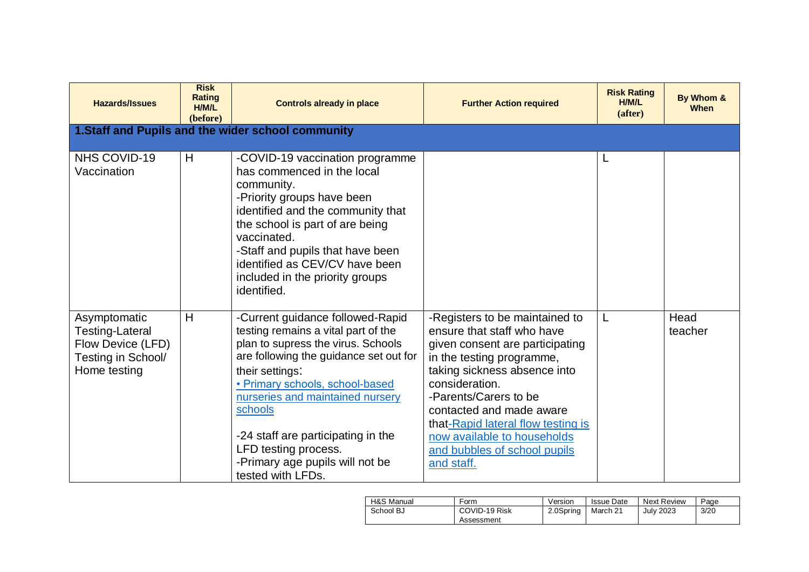| <b>Hazards/Issues</b>                                                                             | <b>Risk</b><br><b>Rating</b><br>H/M/L<br>(before) | <b>Controls already in place</b>                                                                                                                                                                                                                                                                                                                                                   | <b>Further Action required</b>                                                                                                                                                                                                                                                                                                                         | <b>Risk Rating</b><br>H/M/L<br>(after) | By Whom &<br><b>When</b> |
|---------------------------------------------------------------------------------------------------|---------------------------------------------------|------------------------------------------------------------------------------------------------------------------------------------------------------------------------------------------------------------------------------------------------------------------------------------------------------------------------------------------------------------------------------------|--------------------------------------------------------------------------------------------------------------------------------------------------------------------------------------------------------------------------------------------------------------------------------------------------------------------------------------------------------|----------------------------------------|--------------------------|
|                                                                                                   |                                                   | 1.Staff and Pupils and the wider school community                                                                                                                                                                                                                                                                                                                                  |                                                                                                                                                                                                                                                                                                                                                        |                                        |                          |
| NHS COVID-19<br>Vaccination                                                                       | H                                                 | -COVID-19 vaccination programme<br>has commenced in the local<br>community.<br>-Priority groups have been<br>identified and the community that<br>the school is part of are being<br>vaccinated.<br>-Staff and pupils that have been<br>identified as CEV/CV have been<br>included in the priority groups<br>identified.                                                           |                                                                                                                                                                                                                                                                                                                                                        | L                                      |                          |
| Asymptomatic<br><b>Testing-Lateral</b><br>Flow Device (LFD)<br>Testing in School/<br>Home testing | H                                                 | -Current guidance followed-Rapid<br>testing remains a vital part of the<br>plan to supress the virus. Schools<br>are following the guidance set out for<br>their settings:<br>• Primary schools, school-based<br>nurseries and maintained nursery<br>schools<br>-24 staff are participating in the<br>LFD testing process.<br>-Primary age pupils will not be<br>tested with LFDs. | -Registers to be maintained to<br>ensure that staff who have<br>given consent are participating<br>in the testing programme,<br>taking sickness absence into<br>consideration.<br>-Parents/Carers to be<br>contacted and made aware<br>that-Rapid lateral flow testing is<br>now available to households<br>and bubbles of school pupils<br>and staff. |                                        | Head<br>teacher          |

| H&S Manual | Form                        | Version   | <b>Issue Date</b> | <b>Next Review</b> | Page |
|------------|-----------------------------|-----------|-------------------|--------------------|------|
| School BJ  | COVID-19 Risk<br>Assessment | 2.0Spring | March 21          | <b>July 2023</b>   | 3/20 |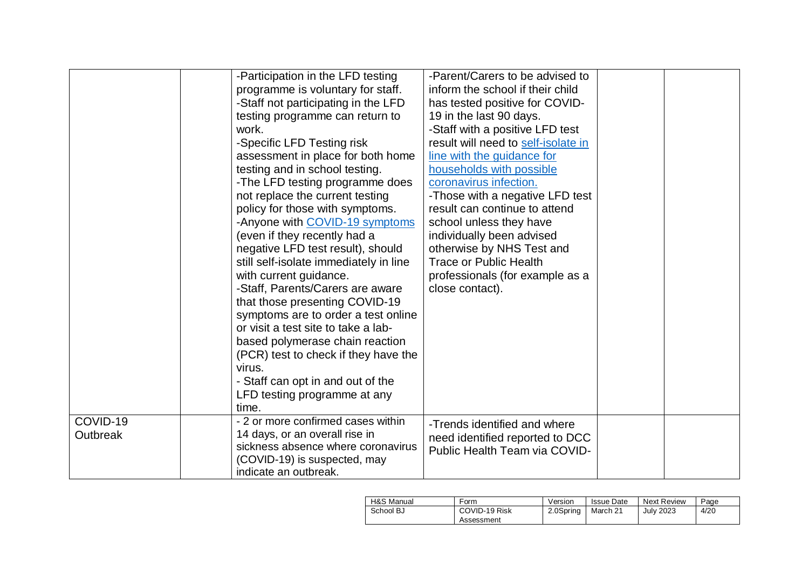|                      | -Participation in the LFD testing<br>programme is voluntary for staff.<br>-Staff not participating in the LFD<br>testing programme can return to<br>work.<br>-Specific LFD Testing risk<br>assessment in place for both home<br>testing and in school testing.<br>-The LFD testing programme does<br>not replace the current testing<br>policy for those with symptoms.<br>-Anyone with COVID-19 symptoms<br>(even if they recently had a<br>negative LFD test result), should<br>still self-isolate immediately in line<br>with current guidance.<br>-Staff, Parents/Carers are aware<br>that those presenting COVID-19<br>symptoms are to order a test online<br>or visit a test site to take a lab-<br>based polymerase chain reaction<br>(PCR) test to check if they have the<br>virus.<br>- Staff can opt in and out of the<br>LFD testing programme at any<br>time. | -Parent/Carers to be advised to<br>inform the school if their child<br>has tested positive for COVID-<br>19 in the last 90 days.<br>-Staff with a positive LFD test<br>result will need to self-isolate in<br>line with the quidance for<br>households with possible<br>coronavirus infection.<br>-Those with a negative LFD test<br>result can continue to attend<br>school unless they have<br>individually been advised<br>otherwise by NHS Test and<br><b>Trace or Public Health</b><br>professionals (for example as a<br>close contact). |  |
|----------------------|---------------------------------------------------------------------------------------------------------------------------------------------------------------------------------------------------------------------------------------------------------------------------------------------------------------------------------------------------------------------------------------------------------------------------------------------------------------------------------------------------------------------------------------------------------------------------------------------------------------------------------------------------------------------------------------------------------------------------------------------------------------------------------------------------------------------------------------------------------------------------|------------------------------------------------------------------------------------------------------------------------------------------------------------------------------------------------------------------------------------------------------------------------------------------------------------------------------------------------------------------------------------------------------------------------------------------------------------------------------------------------------------------------------------------------|--|
| COVID-19<br>Outbreak | - 2 or more confirmed cases within<br>14 days, or an overall rise in<br>sickness absence where coronavirus<br>(COVID-19) is suspected, may<br>indicate an outbreak.                                                                                                                                                                                                                                                                                                                                                                                                                                                                                                                                                                                                                                                                                                       | -Trends identified and where<br>need identified reported to DCC<br>Public Health Team via COVID-                                                                                                                                                                                                                                                                                                                                                                                                                                               |  |

| H&S Manual | Form                        | Version   | <b>Issue Date</b> | <b>Next Review</b> | Page |
|------------|-----------------------------|-----------|-------------------|--------------------|------|
| School BJ  | COVID-19 Risk<br>Assessment | 2.0Spring | March 21          | <b>July 2023</b>   | 4/20 |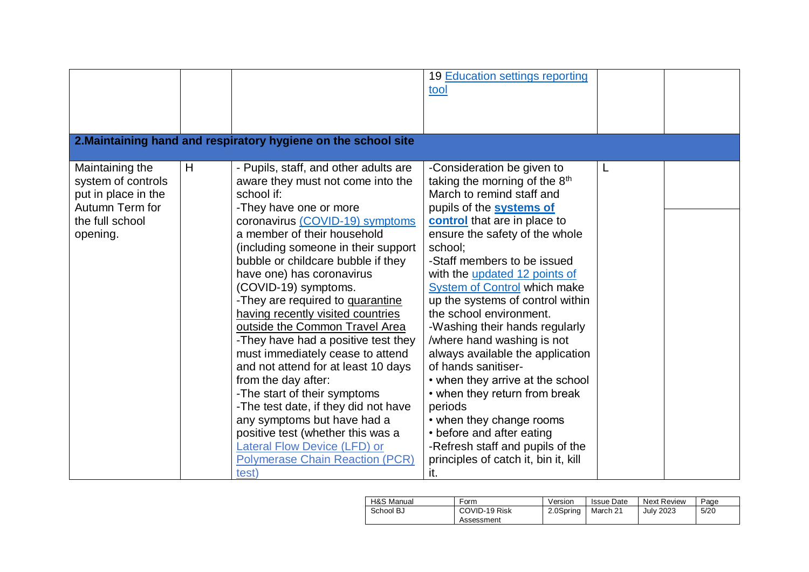|                                                                                                                |   | 2. Maintaining hand and respiratory hygiene on the school site                                                                                                                                                                                                                                                                                                                                                                                                                                                                                                                                                                                                                                                                                                                                                   | 19 Education settings reporting<br>tool                                                                                                                                                                                                                                                                                                                                                                                                                                                                                                                                                                                                                                                                                                           |   |  |
|----------------------------------------------------------------------------------------------------------------|---|------------------------------------------------------------------------------------------------------------------------------------------------------------------------------------------------------------------------------------------------------------------------------------------------------------------------------------------------------------------------------------------------------------------------------------------------------------------------------------------------------------------------------------------------------------------------------------------------------------------------------------------------------------------------------------------------------------------------------------------------------------------------------------------------------------------|---------------------------------------------------------------------------------------------------------------------------------------------------------------------------------------------------------------------------------------------------------------------------------------------------------------------------------------------------------------------------------------------------------------------------------------------------------------------------------------------------------------------------------------------------------------------------------------------------------------------------------------------------------------------------------------------------------------------------------------------------|---|--|
|                                                                                                                |   |                                                                                                                                                                                                                                                                                                                                                                                                                                                                                                                                                                                                                                                                                                                                                                                                                  |                                                                                                                                                                                                                                                                                                                                                                                                                                                                                                                                                                                                                                                                                                                                                   |   |  |
| Maintaining the<br>system of controls<br>put in place in the<br>Autumn Term for<br>the full school<br>opening. | H | - Pupils, staff, and other adults are<br>aware they must not come into the<br>school if:<br>-They have one or more<br>coronavirus (COVID-19) symptoms<br>a member of their household<br>(including someone in their support<br>bubble or childcare bubble if they<br>have one) has coronavirus<br>(COVID-19) symptoms.<br>-They are required to <b>quarantine</b><br>having recently visited countries<br>outside the Common Travel Area<br>-They have had a positive test they<br>must immediately cease to attend<br>and not attend for at least 10 days<br>from the day after:<br>-The start of their symptoms<br>-The test date, if they did not have<br>any symptoms but have had a<br>positive test (whether this was a<br>Lateral Flow Device (LFD) or<br><b>Polymerase Chain Reaction (PCR)</b><br>test) | -Consideration be given to<br>taking the morning of the 8 <sup>th</sup><br>March to remind staff and<br>pupils of the <b>systems of</b><br>control that are in place to<br>ensure the safety of the whole<br>school;<br>-Staff members to be issued<br>with the updated 12 points of<br><b>System of Control which make</b><br>up the systems of control within<br>the school environment.<br>-Washing their hands regularly<br>/where hand washing is not<br>always available the application<br>of hands sanitiser-<br>• when they arrive at the school<br>• when they return from break<br>periods<br>• when they change rooms<br>• before and after eating<br>-Refresh staff and pupils of the<br>principles of catch it, bin it, kill<br>it. | L |  |

| H&S Manual | Form                        | Version   | <b>Issue Date</b> | <b>Next Review</b> | Page |
|------------|-----------------------------|-----------|-------------------|--------------------|------|
| School BJ  | COVID-19 Risk<br>Assessment | 2.0Spring | March 21          | <b>July 2023</b>   | 5/20 |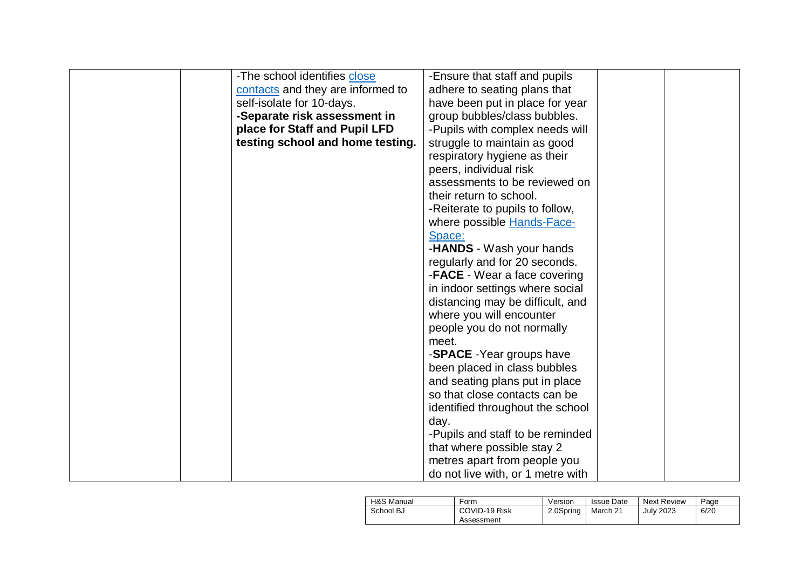| -The school identifies close      | -Ensure that staff and pupils     |  |
|-----------------------------------|-----------------------------------|--|
| contacts and they are informed to | adhere to seating plans that      |  |
| self-isolate for 10-days.         | have been put in place for year   |  |
| -Separate risk assessment in      | group bubbles/class bubbles.      |  |
| place for Staff and Pupil LFD     | -Pupils with complex needs will   |  |
| testing school and home testing.  | struggle to maintain as good      |  |
|                                   | respiratory hygiene as their      |  |
|                                   | peers, individual risk            |  |
|                                   | assessments to be reviewed on     |  |
|                                   | their return to school.           |  |
|                                   | -Reiterate to pupils to follow,   |  |
|                                   | where possible <b>Hands-Face-</b> |  |
|                                   | Space:                            |  |
|                                   | -HANDS - Wash your hands          |  |
|                                   | regularly and for 20 seconds.     |  |
|                                   | -FACE - Wear a face covering      |  |
|                                   | in indoor settings where social   |  |
|                                   | distancing may be difficult, and  |  |
|                                   | where you will encounter          |  |
|                                   | people you do not normally        |  |
|                                   | meet.                             |  |
|                                   | -SPACE - Year groups have         |  |
|                                   | been placed in class bubbles      |  |
|                                   | and seating plans put in place    |  |
|                                   | so that close contacts can be     |  |
|                                   | identified throughout the school  |  |
|                                   | day.                              |  |
|                                   | -Pupils and staff to be reminded  |  |
|                                   | that where possible stay 2        |  |
|                                   | metres apart from people you      |  |
|                                   | do not live with, or 1 metre with |  |

| H&S Manual | Form          | Version   | <b>Issue Date</b> | <b>Next Review</b> | Page |
|------------|---------------|-----------|-------------------|--------------------|------|
| School BJ  | COVID-19 Risk | 2.0Spring | March 21          | <b>July 2023</b>   | 6/20 |
|            | Assessment    |           |                   |                    |      |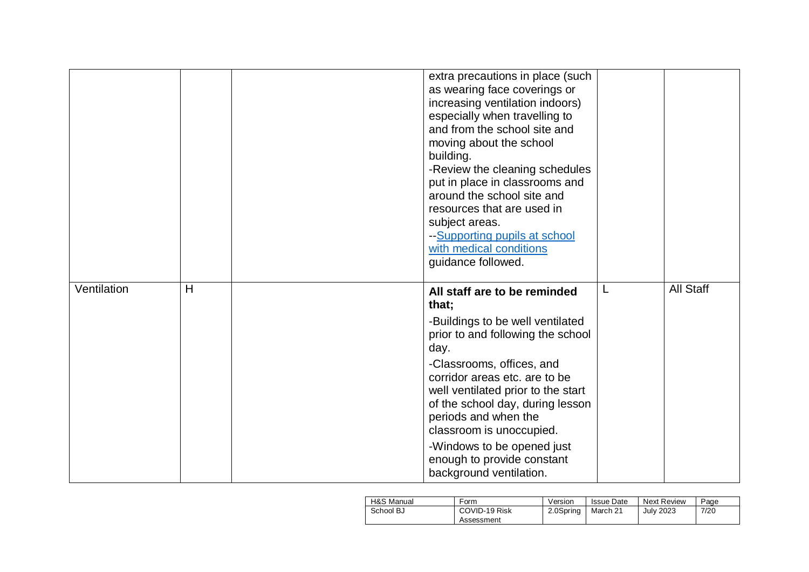|             |   | extra precautions in place (such<br>as wearing face coverings or<br>increasing ventilation indoors)<br>especially when travelling to<br>and from the school site and<br>moving about the school<br>building.<br>-Review the cleaning schedules<br>put in place in classrooms and<br>around the school site and<br>resources that are used in<br>subject areas.<br>--Supporting pupils at school<br>with medical conditions<br>guidance followed. |                  |
|-------------|---|--------------------------------------------------------------------------------------------------------------------------------------------------------------------------------------------------------------------------------------------------------------------------------------------------------------------------------------------------------------------------------------------------------------------------------------------------|------------------|
| Ventilation | H | All staff are to be reminded<br>that;<br>-Buildings to be well ventilated<br>prior to and following the school<br>day.<br>-Classrooms, offices, and<br>corridor areas etc. are to be<br>well ventilated prior to the start<br>of the school day, during lesson<br>periods and when the<br>classroom is unoccupied.<br>-Windows to be opened just<br>enough to provide constant<br>background ventilation.                                        | <b>All Staff</b> |

| H&S Manual | Form          | Version   | <b>Issue Date</b> | <b>Next Review</b> | Page |
|------------|---------------|-----------|-------------------|--------------------|------|
| School BJ  | COVID-19 Risk | 2.0Spring | March 21          | <b>July 2023</b>   | 7/20 |
|            | Assessment    |           |                   |                    |      |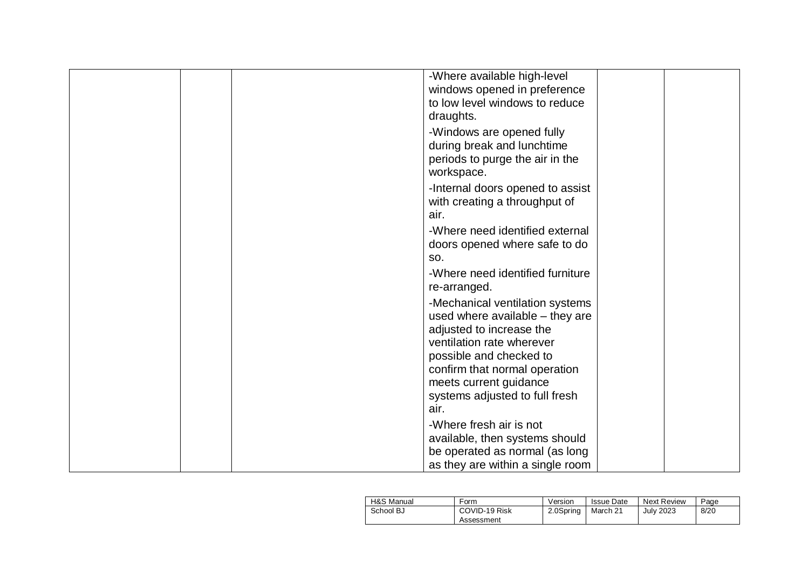|  | -Where available high-level      |  |
|--|----------------------------------|--|
|  | windows opened in preference     |  |
|  | to low level windows to reduce   |  |
|  | draughts.                        |  |
|  | -Windows are opened fully        |  |
|  | during break and lunchtime       |  |
|  | periods to purge the air in the  |  |
|  | workspace.                       |  |
|  | -Internal doors opened to assist |  |
|  | with creating a throughput of    |  |
|  | air.                             |  |
|  | -Where need identified external  |  |
|  | doors opened where safe to do    |  |
|  | SO.                              |  |
|  | -Where need identified furniture |  |
|  |                                  |  |
|  | re-arranged.                     |  |
|  | -Mechanical ventilation systems  |  |
|  | used where available - they are  |  |
|  | adjusted to increase the         |  |
|  | ventilation rate wherever        |  |
|  | possible and checked to          |  |
|  | confirm that normal operation    |  |
|  | meets current guidance           |  |
|  | systems adjusted to full fresh   |  |
|  | air.                             |  |
|  | -Where fresh air is not          |  |
|  | available, then systems should   |  |
|  | be operated as normal (as long   |  |
|  | as they are within a single room |  |

| H&S Manual | Form                        | Version   | Issue Date | <b>Next Review</b> | Page |
|------------|-----------------------------|-----------|------------|--------------------|------|
| School BJ  | COVID-19 Risk<br>Assessment | 2.0Spring | March 21   | July 2023          | 8/20 |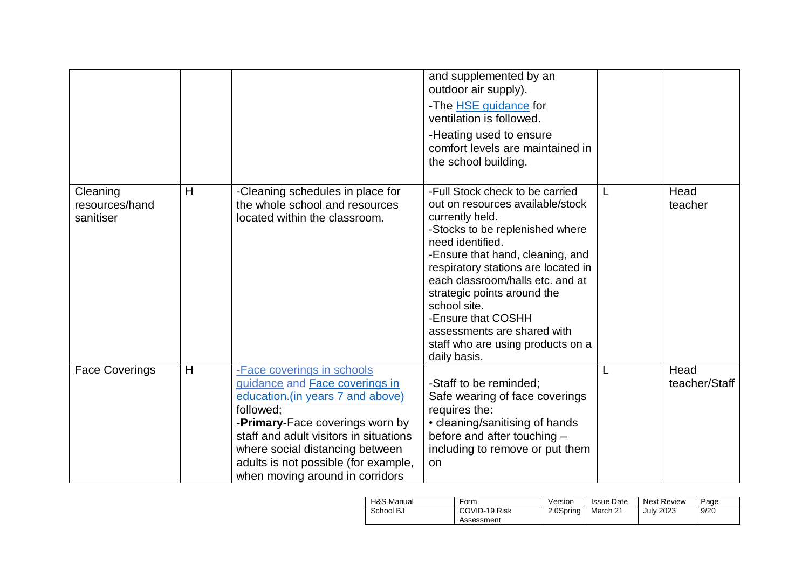|                                         |   |                                                                                                                                                                                                                                                                                                                  | and supplemented by an<br>outdoor air supply).<br>-The HSE guidance for<br>ventilation is followed.<br>-Heating used to ensure<br>comfort levels are maintained in<br>the school building.                                                                                                                                                                                                                            |   |                       |
|-----------------------------------------|---|------------------------------------------------------------------------------------------------------------------------------------------------------------------------------------------------------------------------------------------------------------------------------------------------------------------|-----------------------------------------------------------------------------------------------------------------------------------------------------------------------------------------------------------------------------------------------------------------------------------------------------------------------------------------------------------------------------------------------------------------------|---|-----------------------|
| Cleaning<br>resources/hand<br>sanitiser | H | -Cleaning schedules in place for<br>the whole school and resources<br>located within the classroom.                                                                                                                                                                                                              | -Full Stock check to be carried<br>out on resources available/stock<br>currently held.<br>-Stocks to be replenished where<br>need identified.<br>-Ensure that hand, cleaning, and<br>respiratory stations are located in<br>each classroom/halls etc. and at<br>strategic points around the<br>school site.<br>-Ensure that COSHH<br>assessments are shared with<br>staff who are using products on a<br>daily basis. | L | Head<br>teacher       |
| <b>Face Coverings</b>                   | H | -Face coverings in schools<br>guidance and <b>Face coverings in</b><br>education. (in years 7 and above)<br>followed;<br>-Primary-Face coverings worn by<br>staff and adult visitors in situations<br>where social distancing between<br>adults is not possible (for example,<br>when moving around in corridors | -Staff to be reminded;<br>Safe wearing of face coverings<br>requires the:<br>• cleaning/sanitising of hands<br>before and after touching -<br>including to remove or put them<br>on                                                                                                                                                                                                                                   | L | Head<br>teacher/Staff |

| H&S Manual | Form                        | Version   | <b>Issue Date</b> | <b>Next Review</b> | Page |
|------------|-----------------------------|-----------|-------------------|--------------------|------|
| School BJ  | COVID-19 Risk<br>Assessment | 2.0Spring | March 21          | <b>July 2023</b>   | 9/20 |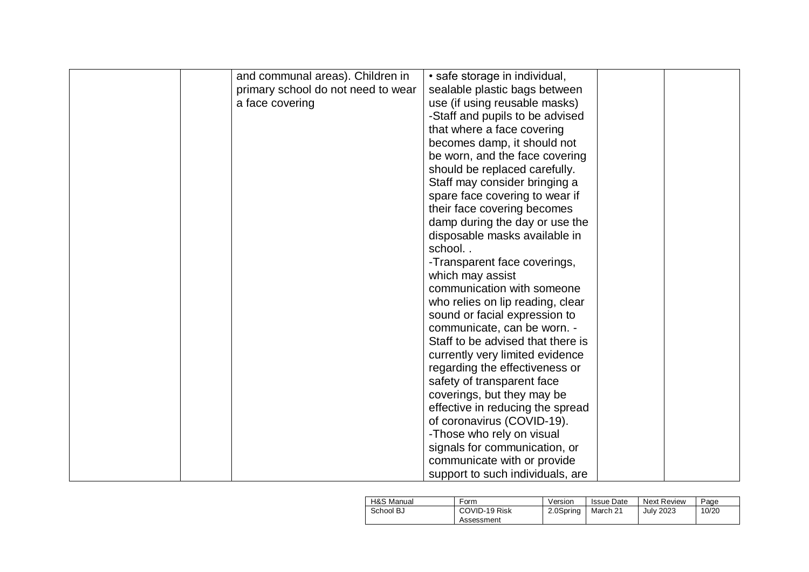| and communal areas). Children in   | • safe storage in individual,     |  |
|------------------------------------|-----------------------------------|--|
| primary school do not need to wear | sealable plastic bags between     |  |
| a face covering                    | use (if using reusable masks)     |  |
|                                    | -Staff and pupils to be advised   |  |
|                                    | that where a face covering        |  |
|                                    | becomes damp, it should not       |  |
|                                    |                                   |  |
|                                    | be worn, and the face covering    |  |
|                                    | should be replaced carefully.     |  |
|                                    | Staff may consider bringing a     |  |
|                                    | spare face covering to wear if    |  |
|                                    | their face covering becomes       |  |
|                                    | damp during the day or use the    |  |
|                                    | disposable masks available in     |  |
|                                    | school                            |  |
|                                    | -Transparent face coverings,      |  |
|                                    | which may assist                  |  |
|                                    | communication with someone        |  |
|                                    | who relies on lip reading, clear  |  |
|                                    | sound or facial expression to     |  |
|                                    | communicate, can be worn. -       |  |
|                                    | Staff to be advised that there is |  |
|                                    | currently very limited evidence   |  |
|                                    | regarding the effectiveness or    |  |
|                                    | safety of transparent face        |  |
|                                    | coverings, but they may be        |  |
|                                    | effective in reducing the spread  |  |
|                                    | of coronavirus (COVID-19).        |  |
|                                    | -Those who rely on visual         |  |
|                                    | signals for communication, or     |  |
|                                    | communicate with or provide       |  |
|                                    | support to such individuals, are  |  |

| H&S Manual | Form                        | Version   | <b>Issue Date</b> | <b>Next Review</b> | Page  |
|------------|-----------------------------|-----------|-------------------|--------------------|-------|
| School BJ  | COVID-19 Risk<br>Assessment | 2.0Spring | March 21          | Julv 2023          | 10/20 |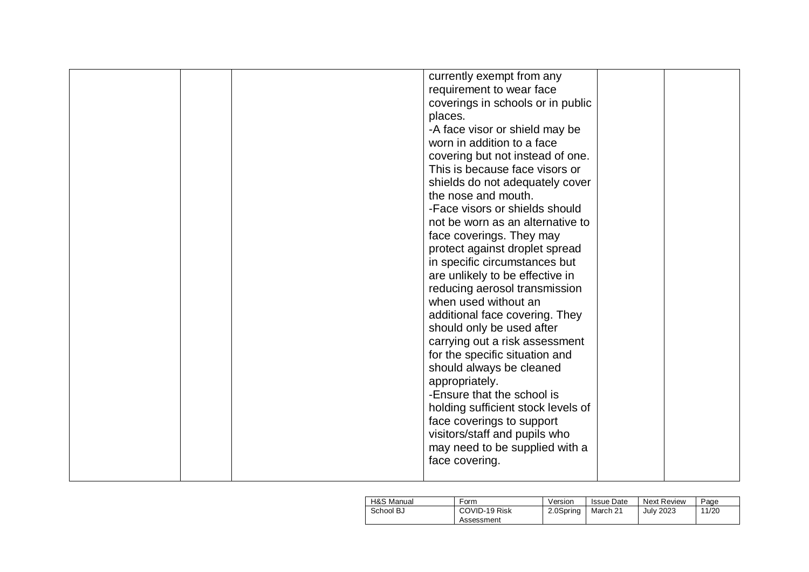|  | currently exempt from any          |  |
|--|------------------------------------|--|
|  | requirement to wear face           |  |
|  | coverings in schools or in public  |  |
|  | places.                            |  |
|  | -A face visor or shield may be     |  |
|  | worn in addition to a face         |  |
|  | covering but not instead of one.   |  |
|  | This is because face visors or     |  |
|  | shields do not adequately cover    |  |
|  | the nose and mouth.                |  |
|  | -Face visors or shields should     |  |
|  | not be worn as an alternative to   |  |
|  | face coverings. They may           |  |
|  | protect against droplet spread     |  |
|  | in specific circumstances but      |  |
|  | are unlikely to be effective in    |  |
|  | reducing aerosol transmission      |  |
|  | when used without an               |  |
|  | additional face covering. They     |  |
|  | should only be used after          |  |
|  | carrying out a risk assessment     |  |
|  | for the specific situation and     |  |
|  | should always be cleaned           |  |
|  | appropriately.                     |  |
|  | -Ensure that the school is         |  |
|  | holding sufficient stock levels of |  |
|  | face coverings to support          |  |
|  | visitors/staff and pupils who      |  |
|  | may need to be supplied with a     |  |
|  | face covering.                     |  |
|  |                                    |  |

| H&S Manual | Form          | Version   | <b>Issue Date</b> | Next Review | Page  |
|------------|---------------|-----------|-------------------|-------------|-------|
| School BJ  | COVID-19 Risk | 2.0Spring | March 21          | July 2023   | 11/20 |
|            | Assessment    |           |                   |             |       |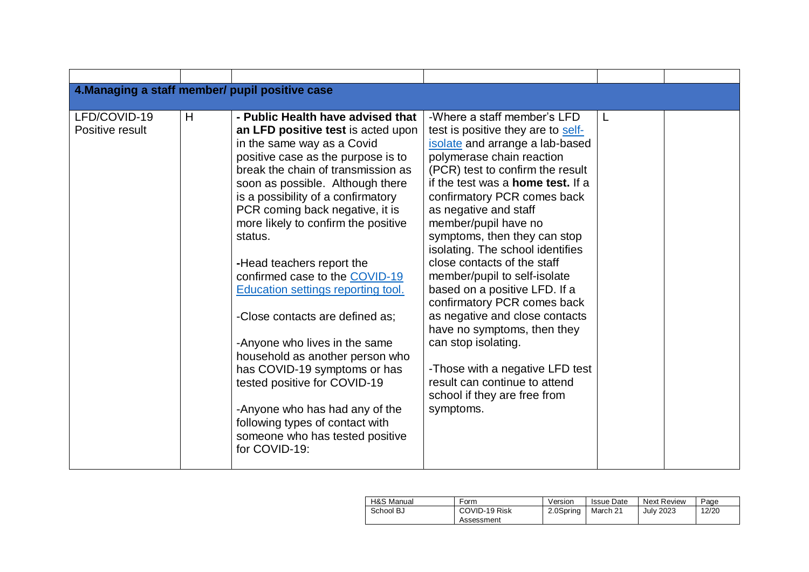| 4. Managing a staff member/ pupil positive case |   |                                                                                                                                                                                                                                                                                                                                                                                                                                                                                                                                                                                                                                                                                                                                                              |                                                                                                                                                                                                                                                                                                                                                                                                                                                                                                                                                                                                                                                                                                               |   |  |
|-------------------------------------------------|---|--------------------------------------------------------------------------------------------------------------------------------------------------------------------------------------------------------------------------------------------------------------------------------------------------------------------------------------------------------------------------------------------------------------------------------------------------------------------------------------------------------------------------------------------------------------------------------------------------------------------------------------------------------------------------------------------------------------------------------------------------------------|---------------------------------------------------------------------------------------------------------------------------------------------------------------------------------------------------------------------------------------------------------------------------------------------------------------------------------------------------------------------------------------------------------------------------------------------------------------------------------------------------------------------------------------------------------------------------------------------------------------------------------------------------------------------------------------------------------------|---|--|
| LFD/COVID-19<br>Positive result                 | H | - Public Health have advised that<br>an LFD positive test is acted upon<br>in the same way as a Covid<br>positive case as the purpose is to<br>break the chain of transmission as<br>soon as possible. Although there<br>is a possibility of a confirmatory<br>PCR coming back negative, it is<br>more likely to confirm the positive<br>status.<br>-Head teachers report the<br>confirmed case to the COVID-19<br><b>Education settings reporting tool.</b><br>-Close contacts are defined as:<br>-Anyone who lives in the same<br>household as another person who<br>has COVID-19 symptoms or has<br>tested positive for COVID-19<br>-Anyone who has had any of the<br>following types of contact with<br>someone who has tested positive<br>for COVID-19: | -Where a staff member's LFD<br>test is positive they are to self-<br>isolate and arrange a lab-based<br>polymerase chain reaction<br>(PCR) test to confirm the result<br>if the test was a <b>home test.</b> If a<br>confirmatory PCR comes back<br>as negative and staff<br>member/pupil have no<br>symptoms, then they can stop<br>isolating. The school identifies<br>close contacts of the staff<br>member/pupil to self-isolate<br>based on a positive LFD. If a<br>confirmatory PCR comes back<br>as negative and close contacts<br>have no symptoms, then they<br>can stop isolating.<br>-Those with a negative LFD test<br>result can continue to attend<br>school if they are free from<br>symptoms. | L |  |

| H&S Manual | Form                        | Version   | <b>Issue Date</b> | <b>Next Review</b> | Page  |
|------------|-----------------------------|-----------|-------------------|--------------------|-------|
| School BJ  | COVID-19 Risk<br>Assessment | 2.0Spring | March 21          | July 2023          | 12/20 |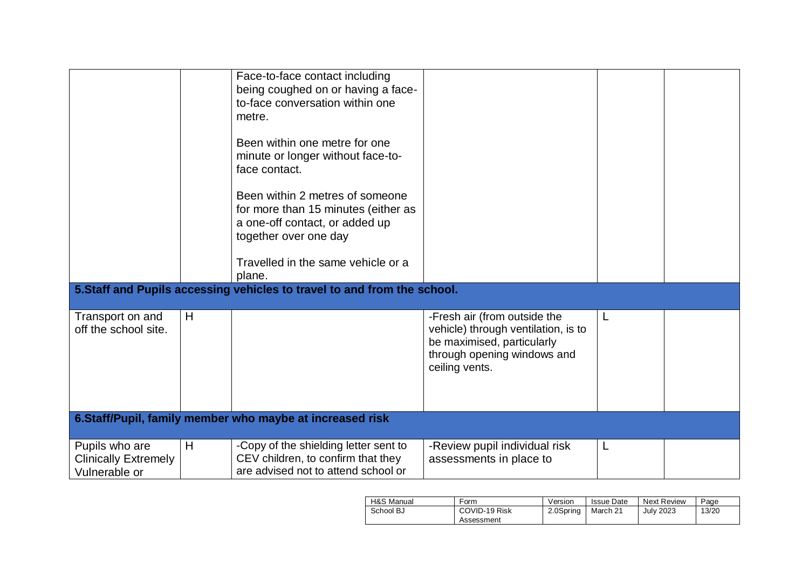|                                                                |   | Face-to-face contact including<br>being coughed on or having a face-<br>to-face conversation within one<br>metre.<br>Been within one metre for one<br>minute or longer without face-to-<br>face contact.<br>Been within 2 metres of someone<br>for more than 15 minutes (either as<br>a one-off contact, or added up<br>together over one day<br>Travelled in the same vehicle or a<br>plane. |                                                                                                                                                    |   |  |
|----------------------------------------------------------------|---|-----------------------------------------------------------------------------------------------------------------------------------------------------------------------------------------------------------------------------------------------------------------------------------------------------------------------------------------------------------------------------------------------|----------------------------------------------------------------------------------------------------------------------------------------------------|---|--|
|                                                                |   | 5. Staff and Pupils accessing vehicles to travel to and from the school.                                                                                                                                                                                                                                                                                                                      |                                                                                                                                                    |   |  |
| Transport on and<br>off the school site.                       | H |                                                                                                                                                                                                                                                                                                                                                                                               | -Fresh air (from outside the<br>vehicle) through ventilation, is to<br>be maximised, particularly<br>through opening windows and<br>ceiling vents. | L |  |
|                                                                |   | 6.Staff/Pupil, family member who maybe at increased risk                                                                                                                                                                                                                                                                                                                                      |                                                                                                                                                    |   |  |
| Pupils who are<br><b>Clinically Extremely</b><br>Vulnerable or | H | -Copy of the shielding letter sent to<br>CEV children, to confirm that they<br>are advised not to attend school or                                                                                                                                                                                                                                                                            | -Review pupil individual risk<br>assessments in place to                                                                                           |   |  |

| H&S Manual | Form                        | Version   | Issue Date | Next Review      | Page  |
|------------|-----------------------------|-----------|------------|------------------|-------|
| School BJ  | COVID-19 Risk<br>Assessment | 2.0Spring | March 21   | <b>July 2023</b> | 13/20 |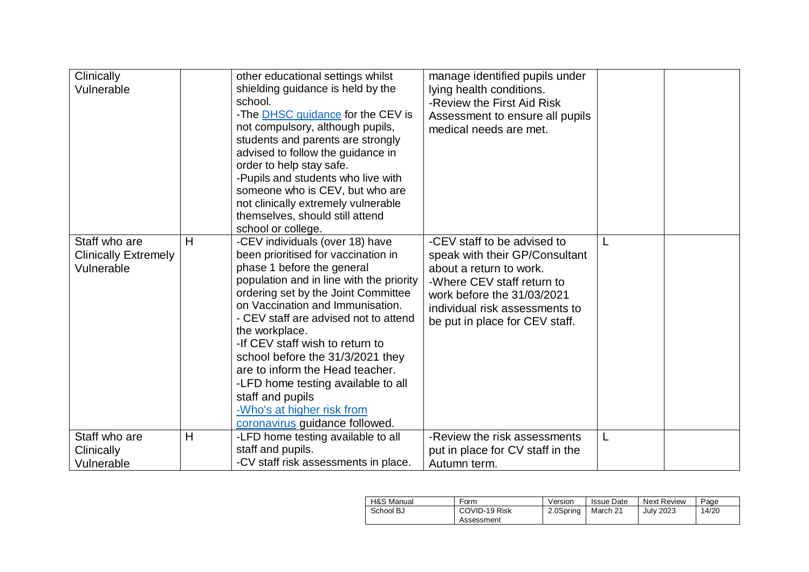| Clinically<br>Vulnerable                                   |   | other educational settings whilst<br>shielding guidance is held by the<br>school.<br>-The <b>DHSC</b> guidance for the CEV is<br>not compulsory, although pupils,<br>students and parents are strongly<br>advised to follow the guidance in<br>order to help stay safe.<br>-Pupils and students who live with<br>someone who is CEV, but who are<br>not clinically extremely vulnerable<br>themselves, should still attend<br>school or college.                                                                           | manage identified pupils under<br>lying health conditions.<br>-Review the First Aid Risk<br>Assessment to ensure all pupils<br>medical needs are met.                                                                    |  |
|------------------------------------------------------------|---|----------------------------------------------------------------------------------------------------------------------------------------------------------------------------------------------------------------------------------------------------------------------------------------------------------------------------------------------------------------------------------------------------------------------------------------------------------------------------------------------------------------------------|--------------------------------------------------------------------------------------------------------------------------------------------------------------------------------------------------------------------------|--|
| Staff who are<br><b>Clinically Extremely</b><br>Vulnerable | H | -CEV individuals (over 18) have<br>been prioritised for vaccination in<br>phase 1 before the general<br>population and in line with the priority<br>ordering set by the Joint Committee<br>on Vaccination and Immunisation.<br>- CEV staff are advised not to attend<br>the workplace.<br>-If CEV staff wish to return to<br>school before the 31/3/2021 they<br>are to inform the Head teacher.<br>-LFD home testing available to all<br>staff and pupils<br>-Who's at higher risk from<br>coronavirus guidance followed. | -CEV staff to be advised to<br>speak with their GP/Consultant<br>about a return to work.<br>-Where CEV staff return to<br>work before the 31/03/2021<br>individual risk assessments to<br>be put in place for CEV staff. |  |
| Staff who are                                              | H | -LFD home testing available to all                                                                                                                                                                                                                                                                                                                                                                                                                                                                                         | -Review the risk assessments                                                                                                                                                                                             |  |
| Clinically                                                 |   | staff and pupils.                                                                                                                                                                                                                                                                                                                                                                                                                                                                                                          | put in place for CV staff in the                                                                                                                                                                                         |  |
| Vulnerable                                                 |   | -CV staff risk assessments in place.                                                                                                                                                                                                                                                                                                                                                                                                                                                                                       | Autumn term.                                                                                                                                                                                                             |  |

| H&S Manual | Form                        | Version   | <b>Issue Date</b> | Next Review      | Page  |
|------------|-----------------------------|-----------|-------------------|------------------|-------|
| School BJ  | COVID-19 Risk<br>Assessment | 2.0Spring | March 21          | <b>July 2023</b> | 14/20 |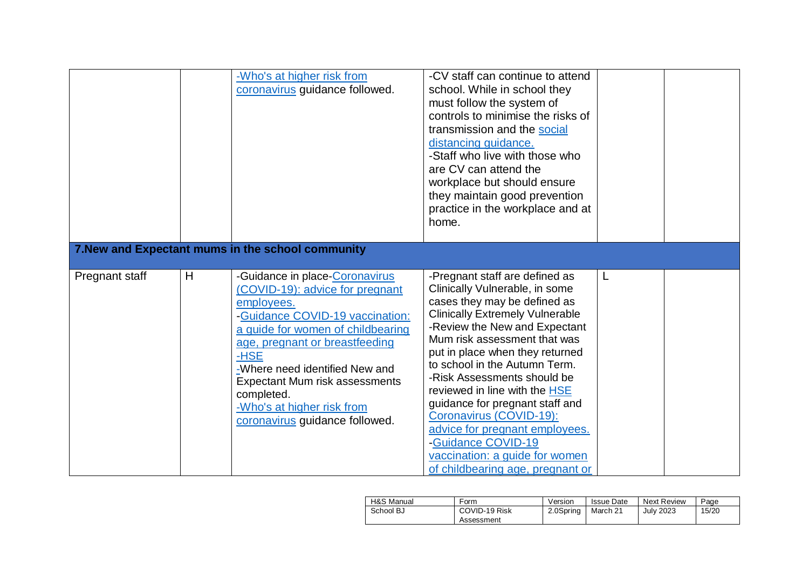|                |   | -Who's at higher risk from<br>coronavirus guidance followed.                                                                                                                                                                                                                                                                                        | -CV staff can continue to attend<br>school. While in school they<br>must follow the system of<br>controls to minimise the risks of<br>transmission and the social<br>distancing guidance.<br>-Staff who live with those who<br>are CV can attend the<br>workplace but should ensure<br>they maintain good prevention<br>practice in the workplace and at<br>home.                                                                                                                                                                           |   |  |
|----------------|---|-----------------------------------------------------------------------------------------------------------------------------------------------------------------------------------------------------------------------------------------------------------------------------------------------------------------------------------------------------|---------------------------------------------------------------------------------------------------------------------------------------------------------------------------------------------------------------------------------------------------------------------------------------------------------------------------------------------------------------------------------------------------------------------------------------------------------------------------------------------------------------------------------------------|---|--|
|                |   | 7. New and Expectant mums in the school community                                                                                                                                                                                                                                                                                                   |                                                                                                                                                                                                                                                                                                                                                                                                                                                                                                                                             |   |  |
| Pregnant staff | H | -Guidance in place-Coronavirus<br>(COVID-19): advice for pregnant<br>employees.<br>-Guidance COVID-19 vaccination:<br>a guide for women of childbearing<br>age, pregnant or breastfeeding<br>-HSE<br>-Where need identified New and<br>Expectant Mum risk assessments<br>completed.<br>-Who's at higher risk from<br>coronavirus guidance followed. | -Pregnant staff are defined as<br>Clinically Vulnerable, in some<br>cases they may be defined as<br><b>Clinically Extremely Vulnerable</b><br>-Review the New and Expectant<br>Mum risk assessment that was<br>put in place when they returned<br>to school in the Autumn Term.<br>-Risk Assessments should be<br>reviewed in line with the HSE<br>guidance for pregnant staff and<br>Coronavirus (COVID-19):<br>advice for pregnant employees.<br>-Guidance COVID-19<br>vaccination: a guide for women<br>of childbearing age, pregnant or | L |  |

| H&S Manual | Form          | Version   | Issue Date | Next Review      | Page  |
|------------|---------------|-----------|------------|------------------|-------|
| School BJ  | COVID-19 Risk | 2.0Spring | March 21   | <b>July 2023</b> | 15/20 |
|            | Assessment    |           |            |                  |       |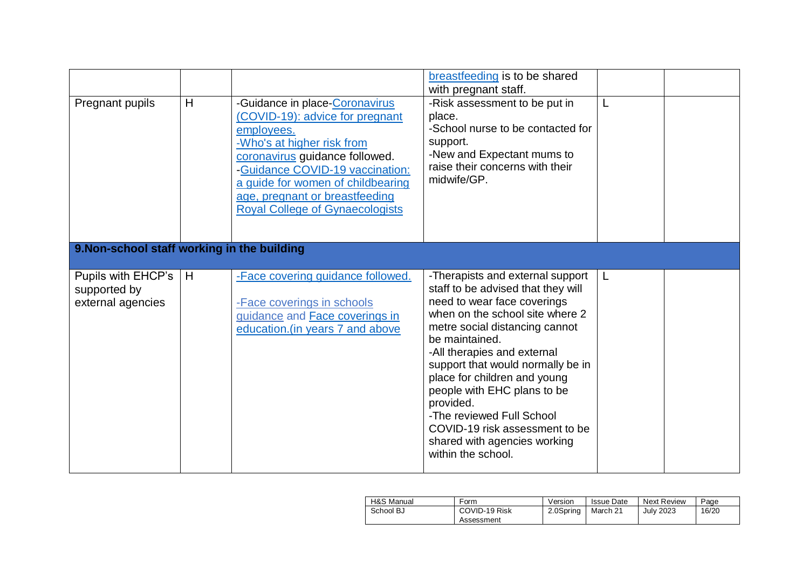| Pregnant pupils                                         | H | -Guidance in place-Coronavirus<br>(COVID-19): advice for pregnant<br>employees.<br>-Who's at higher risk from<br>coronavirus guidance followed.<br>-Guidance COVID-19 vaccination:<br>a guide for women of childbearing<br>age, pregnant or breastfeeding<br><b>Royal College of Gynaecologists</b> | breastfeeding is to be shared<br>with pregnant staff.<br>-Risk assessment to be put in<br>place.<br>-School nurse to be contacted for<br>support.<br>-New and Expectant mums to<br>raise their concerns with their<br>midwife/GP.                                                                                                                                                                                                                                 |   |  |
|---------------------------------------------------------|---|-----------------------------------------------------------------------------------------------------------------------------------------------------------------------------------------------------------------------------------------------------------------------------------------------------|-------------------------------------------------------------------------------------------------------------------------------------------------------------------------------------------------------------------------------------------------------------------------------------------------------------------------------------------------------------------------------------------------------------------------------------------------------------------|---|--|
| 9. Non-school staff working in the building             |   |                                                                                                                                                                                                                                                                                                     |                                                                                                                                                                                                                                                                                                                                                                                                                                                                   |   |  |
| Pupils with EHCP's<br>supported by<br>external agencies | H | -Face covering guidance followed.<br>-Face coverings in schools<br>guidance and <b>Face coverings in</b><br>education. (in years 7 and above                                                                                                                                                        | -Therapists and external support<br>staff to be advised that they will<br>need to wear face coverings<br>when on the school site where 2<br>metre social distancing cannot<br>be maintained.<br>-All therapies and external<br>support that would normally be in<br>place for children and young<br>people with EHC plans to be<br>provided.<br>-The reviewed Full School<br>COVID-19 risk assessment to be<br>shared with agencies working<br>within the school. | L |  |

| H&S Manual | Form                        | Version   | <b>Issue Date</b> | <b>Next Review</b> | Page  |
|------------|-----------------------------|-----------|-------------------|--------------------|-------|
| School BJ  | COVID-19 Risk<br>Assessment | 2.0Spring | March 21          | <b>July 2023</b>   | 16/20 |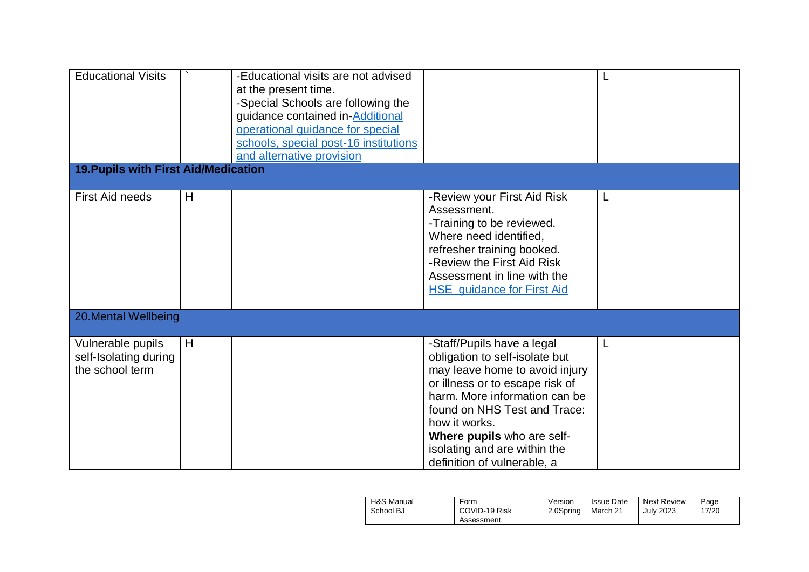| <b>Educational Visits</b>                                     |   | -Educational visits are not advised<br>at the present time.<br>-Special Schools are following the<br>guidance contained in-Additional<br>operational guidance for special<br>schools, special post-16 institutions<br>and alternative provision |                                                                                                                                                                                                                                                                                                                  |   |  |
|---------------------------------------------------------------|---|-------------------------------------------------------------------------------------------------------------------------------------------------------------------------------------------------------------------------------------------------|------------------------------------------------------------------------------------------------------------------------------------------------------------------------------------------------------------------------------------------------------------------------------------------------------------------|---|--|
| <b>19. Pupils with First Aid/Medication</b>                   |   |                                                                                                                                                                                                                                                 |                                                                                                                                                                                                                                                                                                                  |   |  |
| <b>First Aid needs</b>                                        | H |                                                                                                                                                                                                                                                 | -Review your First Aid Risk<br>Assessment.<br>-Training to be reviewed.<br>Where need identified,<br>refresher training booked.<br>-Review the First Aid Risk<br>Assessment in line with the<br><b>HSE</b> guidance for First Aid                                                                                | L |  |
| 20. Mental Wellbeing                                          |   |                                                                                                                                                                                                                                                 |                                                                                                                                                                                                                                                                                                                  |   |  |
| Vulnerable pupils<br>self-Isolating during<br>the school term | H |                                                                                                                                                                                                                                                 | -Staff/Pupils have a legal<br>obligation to self-isolate but<br>may leave home to avoid injury<br>or illness or to escape risk of<br>harm. More information can be<br>found on NHS Test and Trace:<br>how it works.<br>Where pupils who are self-<br>isolating and are within the<br>definition of vulnerable, a |   |  |

| H&S Manual | Form                        | Version   | Issue Date | Next Review      | Page  |
|------------|-----------------------------|-----------|------------|------------------|-------|
| School BJ  | COVID-19 Risk<br>Assessment | 2.0Spring | March 21   | <b>July 2023</b> | 17/20 |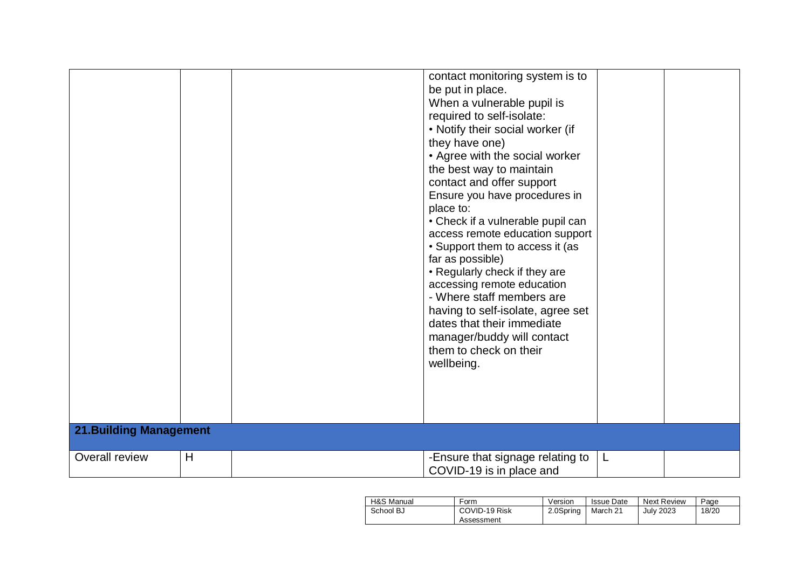|                                |   | contact monitoring system is to<br>be put in place.<br>When a vulnerable pupil is<br>required to self-isolate:<br>• Notify their social worker (if<br>they have one)<br>• Agree with the social worker<br>the best way to maintain<br>contact and offer support<br>Ensure you have procedures in<br>place to:<br>• Check if a vulnerable pupil can<br>access remote education support<br>• Support them to access it (as<br>far as possible)<br>• Regularly check if they are<br>accessing remote education<br>- Where staff members are<br>having to self-isolate, agree set<br>dates that their immediate<br>manager/buddy will contact<br>them to check on their<br>wellbeing. |   |  |
|--------------------------------|---|-----------------------------------------------------------------------------------------------------------------------------------------------------------------------------------------------------------------------------------------------------------------------------------------------------------------------------------------------------------------------------------------------------------------------------------------------------------------------------------------------------------------------------------------------------------------------------------------------------------------------------------------------------------------------------------|---|--|
| <b>21. Building Management</b> |   |                                                                                                                                                                                                                                                                                                                                                                                                                                                                                                                                                                                                                                                                                   |   |  |
| Overall review                 | H | -Ensure that signage relating to<br>COVID-19 is in place and                                                                                                                                                                                                                                                                                                                                                                                                                                                                                                                                                                                                                      | L |  |

| H&S Manual | Form                        | Version   | <b>Issue Date</b> | Next Review      | Page  |
|------------|-----------------------------|-----------|-------------------|------------------|-------|
| School BJ  | COVID-19 Risk<br>Assessment | 2.0Spring | March 21          | <b>July 2023</b> | 18/20 |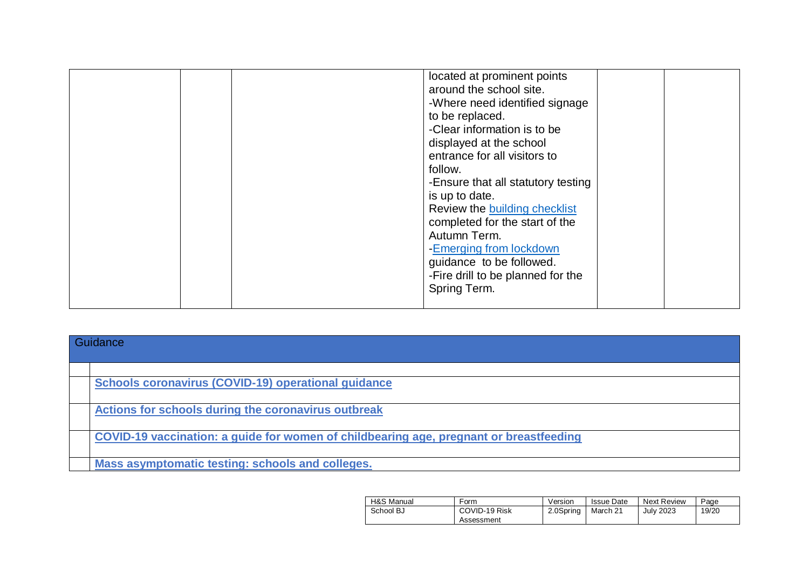|  | located at prominent points          |  |
|--|--------------------------------------|--|
|  | around the school site.              |  |
|  | -Where need identified signage       |  |
|  | to be replaced.                      |  |
|  | -Clear information is to be          |  |
|  | displayed at the school              |  |
|  | entrance for all visitors to         |  |
|  | follow.                              |  |
|  |                                      |  |
|  | -Ensure that all statutory testing   |  |
|  | is up to date.                       |  |
|  | Review the <b>building checklist</b> |  |
|  | completed for the start of the       |  |
|  | Autumn Term.                         |  |
|  | -Emerging from lockdown              |  |
|  | guidance to be followed.             |  |
|  | -Fire drill to be planned for the    |  |
|  |                                      |  |
|  | Spring Term.                         |  |
|  |                                      |  |

| Guidance                                                                               |
|----------------------------------------------------------------------------------------|
|                                                                                        |
| <b>Schools coronavirus (COVID-19) operational guidance</b>                             |
| Actions for schools during the coronavirus outbreak                                    |
| COVID-19 vaccination: a guide for women of childbearing age, pregnant or breastfeeding |
| Mass asymptomatic testing: schools and colleges.                                       |

| H&S Manual | Form          | Version   | <b>Issue Date</b> | <b>Next Review</b> | Page  |
|------------|---------------|-----------|-------------------|--------------------|-------|
| School BJ  | COVID-19 Risk | 2.0Spring | March 21          | <b>July 2023</b>   | 19/20 |
|            | Assessment    |           |                   |                    |       |